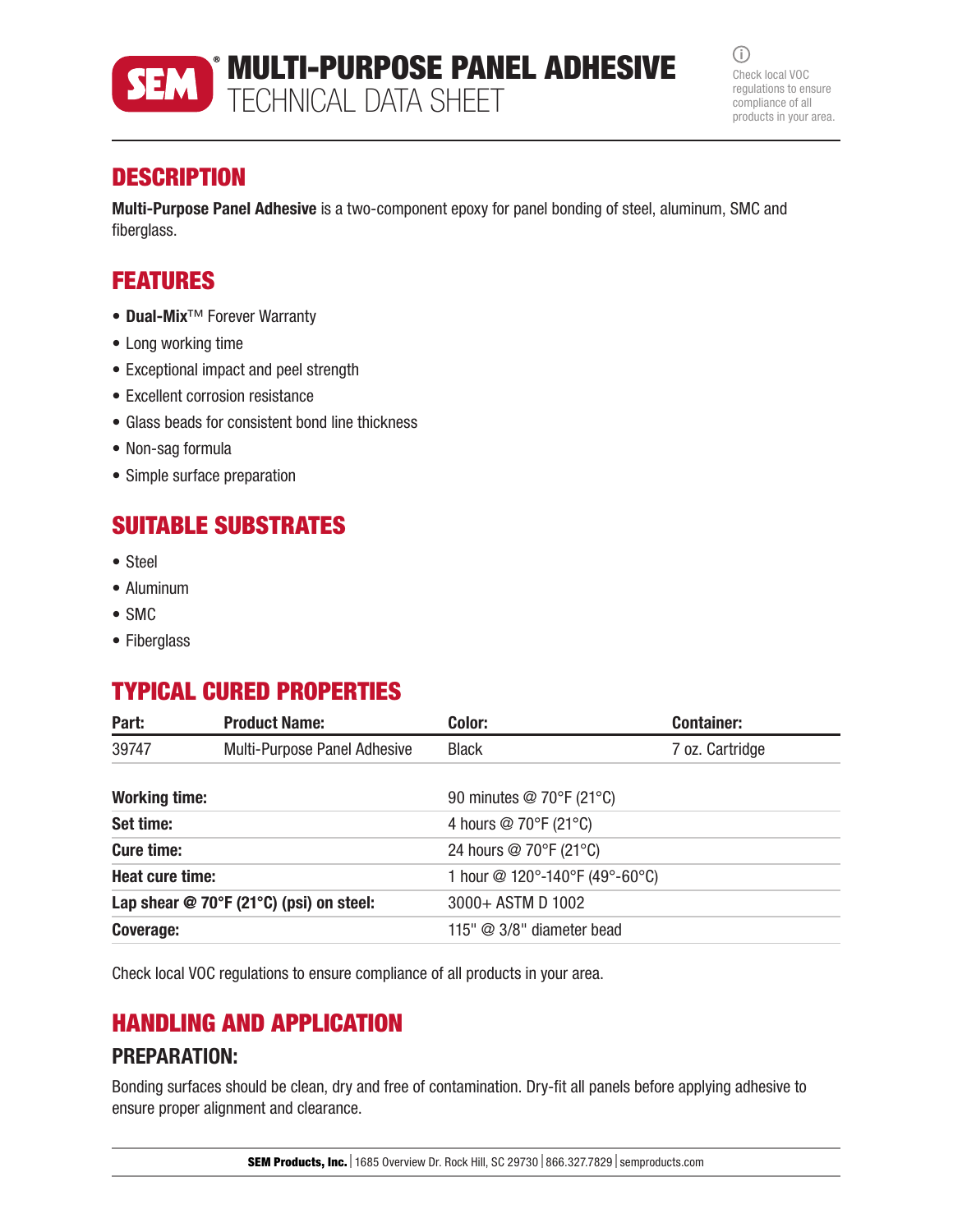

MULTI-PURPOSE PANEL ADHESIVE TECHNICAL DATA SHEET

 $\bigcirc$ Check local VOC regulations to ensure compliance of all products in your area.

## **DESCRIPTION**

Multi-Purpose Panel Adhesive is a two-component epoxy for panel bonding of steel, aluminum, SMC and fiberglass.

## FEATURES

- Dual-Mix™ Forever Warranty
- Long working time
- Exceptional impact and peel strength
- Excellent corrosion resistance
- Glass beads for consistent bond line thickness
- Non-sag formula
- Simple surface preparation

# SUITABLE SUBSTRATES

- Steel
- Aluminum
- SMC
- Fiberglass

# TYPICAL CURED PROPERTIES

| <b>Product Name:</b>                              | Color:                                    | <b>Container:</b> |
|---------------------------------------------------|-------------------------------------------|-------------------|
| Multi-Purpose Panel Adhesive                      | <b>Black</b>                              | 7 oz. Cartridge   |
|                                                   | 90 minutes @ 70°F (21°C)                  |                   |
|                                                   | 4 hours @ 70°F (21°C)                     |                   |
|                                                   | 24 hours @ 70°F (21°C)                    |                   |
| 1 hour @ 120°-140°F (49°-60°C)<br>Heat cure time: |                                           |                   |
|                                                   | 3000+ ASTM D 1002                         |                   |
|                                                   | 115" $@$ 3/8" diameter bead               |                   |
|                                                   | Lap shear $@$ 70°F (21°C) (psi) on steel: |                   |

Check local VOC regulations to ensure compliance of all products in your area.

## HANDLING AND APPLICATION

## PREPARATION:

Bonding surfaces should be clean, dry and free of contamination. Dry-fit all panels before applying adhesive to ensure proper alignment and clearance.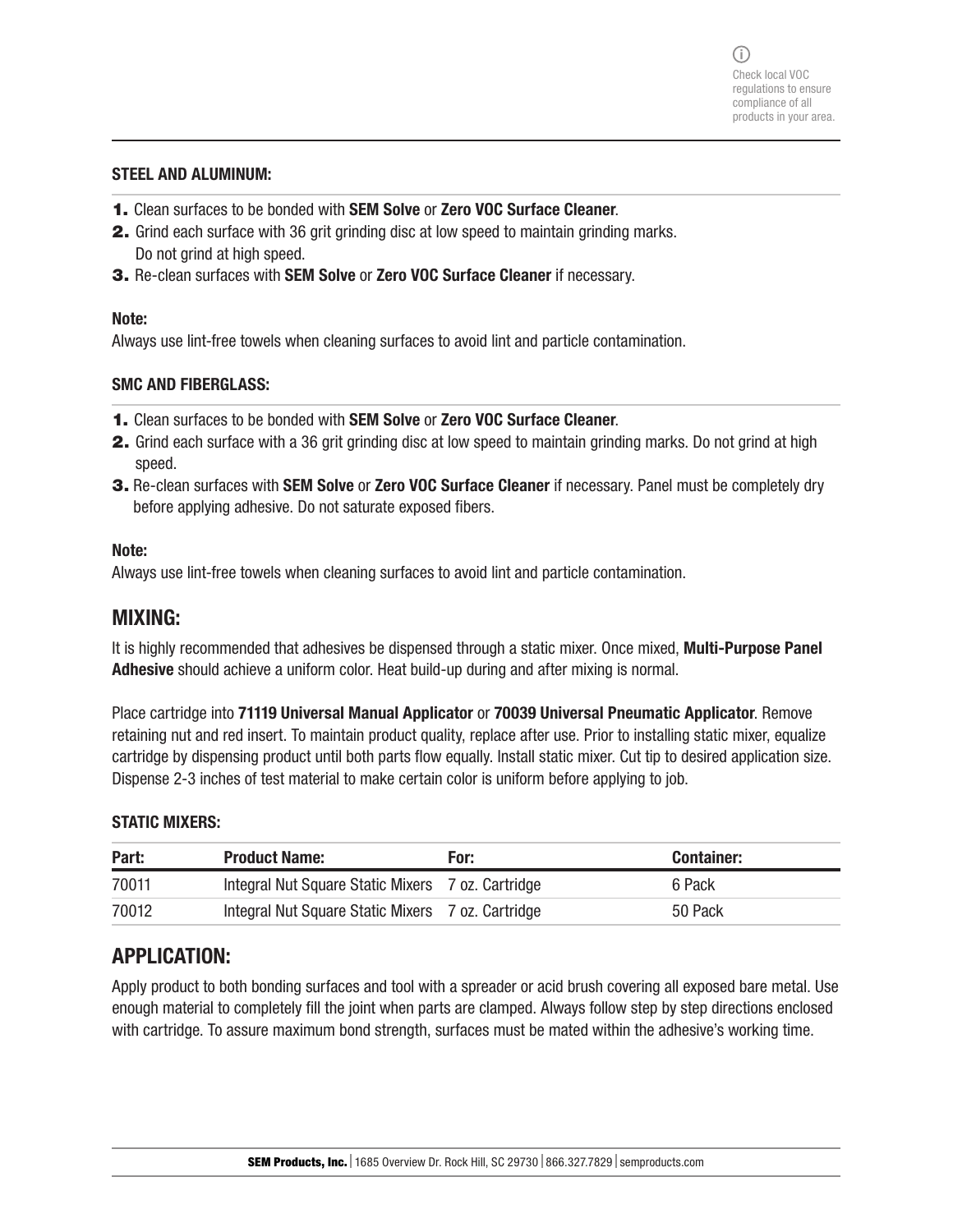#### STEEL AND ALUMINUM:

- 1. Clean surfaces to be bonded with SEM Solve or Zero VOC Surface Cleaner.
- 2. Grind each surface with 36 grit grinding disc at low speed to maintain grinding marks. Do not grind at high speed.
- 3. Re-clean surfaces with SEM Solve or Zero VOC Surface Cleaner if necessary.

#### Note:

Always use lint-free towels when cleaning surfaces to avoid lint and particle contamination.

#### SMC AND FIBERGLASS:

- 1. Clean surfaces to be bonded with SEM Solve or Zero VOC Surface Cleaner.
- 2. Grind each surface with a 36 grit grinding disc at low speed to maintain grinding marks. Do not grind at high speed.
- **3.** Re-clean surfaces with **SEM Solve** or **Zero VOC Surface Cleaner** if necessary. Panel must be completely dry before applying adhesive. Do not saturate exposed fibers.

#### Note:

Always use lint-free towels when cleaning surfaces to avoid lint and particle contamination.

### MIXING:

It is highly recommended that adhesives be dispensed through a static mixer. Once mixed, **Multi-Purpose Panel** Adhesive should achieve a uniform color. Heat build-up during and after mixing is normal.

Place cartridge into 71119 Universal Manual Applicator or 70039 Universal Pneumatic Applicator. Remove retaining nut and red insert. To maintain product quality, replace after use. Prior to installing static mixer, equalize cartridge by dispensing product until both parts flow equally. Install static mixer. Cut tip to desired application size. Dispense 2-3 inches of test material to make certain color is uniform before applying to job.

#### STATIC MIXERS:

| Part: | <b>Product Name:</b>                              | For: | <b>Container:</b> |
|-------|---------------------------------------------------|------|-------------------|
| 70011 | Integral Nut Square Static Mixers 7 oz. Cartridge |      | 6 Pack            |
| 70012 | Integral Nut Square Static Mixers 7 oz. Cartridge |      | 50 Pack           |

## APPLICATION:

Apply product to both bonding surfaces and tool with a spreader or acid brush covering all exposed bare metal. Use enough material to completely fill the joint when parts are clamped. Always follow step by step directions enclosed with cartridge. To assure maximum bond strength, surfaces must be mated within the adhesive's working time.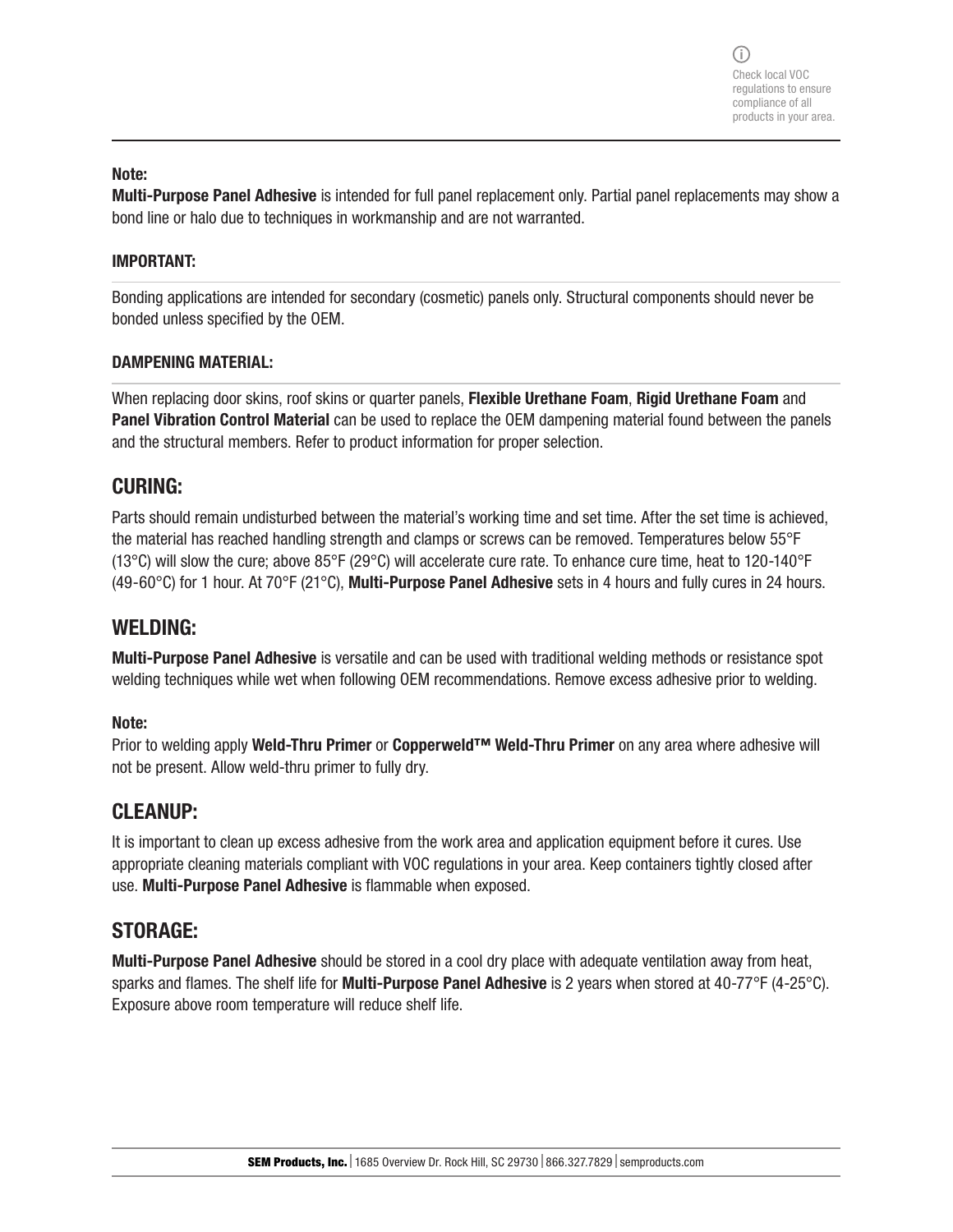#### Note:

Multi-Purpose Panel Adhesive is intended for full panel replacement only. Partial panel replacements may show a bond line or halo due to techniques in workmanship and are not warranted.

### IMPORTANT:

Bonding applications are intended for secondary (cosmetic) panels only. Structural components should never be bonded unless specified by the OEM.

#### DAMPENING MATERIAL:

When replacing door skins, roof skins or quarter panels, Flexible Urethane Foam, Rigid Urethane Foam and Panel Vibration Control Material can be used to replace the OEM dampening material found between the panels and the structural members. Refer to product information for proper selection.

## CURING:

Parts should remain undisturbed between the material's working time and set time. After the set time is achieved, the material has reached handling strength and clamps or screws can be removed. Temperatures below 55°F (13°C) will slow the cure; above 85°F (29°C) will accelerate cure rate. To enhance cure time, heat to 120-140°F (49-60°C) for 1 hour. At 70°F (21°C), Multi-Purpose Panel Adhesive sets in 4 hours and fully cures in 24 hours.

### WELDING:

Multi-Purpose Panel Adhesive is versatile and can be used with traditional welding methods or resistance spot welding techniques while wet when following OEM recommendations. Remove excess adhesive prior to welding.

### Note:

Prior to welding apply Weld-Thru Primer or Copperweld™ Weld-Thru Primer on any area where adhesive will not be present. Allow weld-thru primer to fully dry.

## CLEANUP:

It is important to clean up excess adhesive from the work area and application equipment before it cures. Use appropriate cleaning materials compliant with VOC regulations in your area. Keep containers tightly closed after use. Multi-Purpose Panel Adhesive is flammable when exposed.

## STORAGE:

Multi-Purpose Panel Adhesive should be stored in a cool dry place with adequate ventilation away from heat, sparks and flames. The shelf life for **Multi-Purpose Panel Adhesive** is 2 years when stored at 40-77°F (4-25°C). Exposure above room temperature will reduce shelf life.